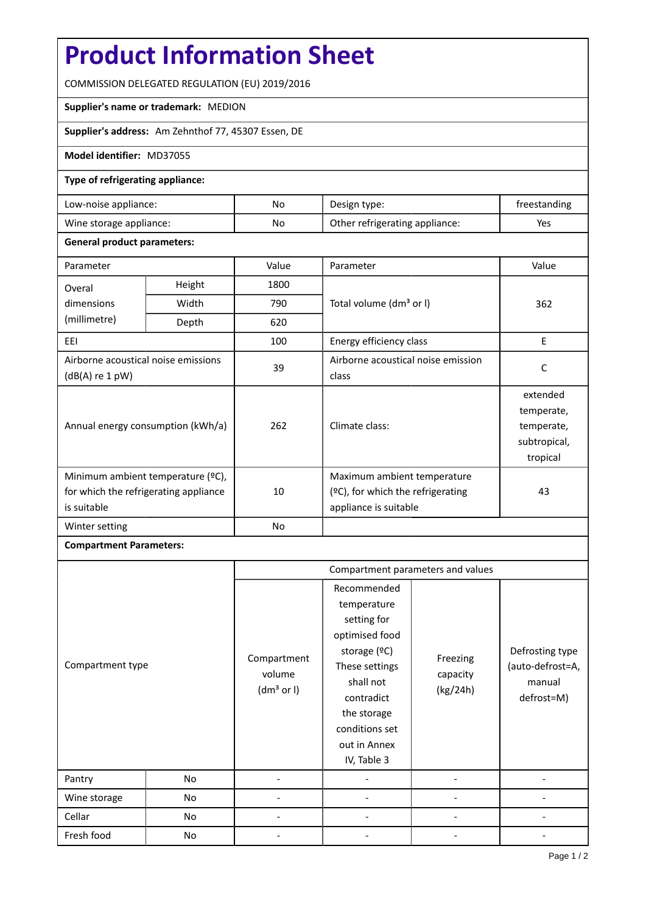# **Product Information Sheet**

COMMISSION DELEGATED REGULATION (EU) 2019/2016

#### **Supplier's name or trademark:** MEDION

**Supplier's address:** Am Zehnthof 77, 45307 Essen, DE

### **Model identifier:** MD37055

### **Type of refrigerating appliance:**

| Low-noise appliance:    | No | Design type:                   | freestanding |
|-------------------------|----|--------------------------------|--------------|
| Wine storage appliance: | No | Other refrigerating appliance: | Yes          |

### **General product parameters:**

| Parameter                                                                                 |                                   | Value | Parameter                                                                                 | Value                                                            |
|-------------------------------------------------------------------------------------------|-----------------------------------|-------|-------------------------------------------------------------------------------------------|------------------------------------------------------------------|
| Overal                                                                                    | Height<br>1800                    |       |                                                                                           |                                                                  |
| dimensions                                                                                | Width                             | 790   | Total volume (dm <sup>3</sup> or I)                                                       | 362                                                              |
| (millimetre)                                                                              | Depth                             | 620   |                                                                                           |                                                                  |
| EEI                                                                                       |                                   | 100   | Energy efficiency class                                                                   | E                                                                |
| Airborne acoustical noise emissions<br>$(dB(A)$ re 1 pW)                                  |                                   | 39    | Airborne acoustical noise emission<br>class                                               | C                                                                |
|                                                                                           | Annual energy consumption (kWh/a) | 262   | Climate class:                                                                            | extended<br>temperate,<br>temperate,<br>subtropical,<br>tropical |
| Minimum ambient temperature (°C),<br>for which the refrigerating appliance<br>is suitable |                                   | 10    | Maximum ambient temperature<br>(ºC), for which the refrigerating<br>appliance is suitable | 43                                                               |
| Winter setting                                                                            |                                   | No    |                                                                                           |                                                                  |

## **Compartment Parameters:**

|                  |    | Compartment parameters and values               |                                                                                                                                                                                          |                                  |                                                             |
|------------------|----|-------------------------------------------------|------------------------------------------------------------------------------------------------------------------------------------------------------------------------------------------|----------------------------------|-------------------------------------------------------------|
| Compartment type |    | Compartment<br>volume<br>(dm <sup>3</sup> or I) | Recommended<br>temperature<br>setting for<br>optimised food<br>storage (ºC)<br>These settings<br>shall not<br>contradict<br>the storage<br>conditions set<br>out in Annex<br>IV, Table 3 | Freezing<br>capacity<br>(kg/24h) | Defrosting type<br>(auto-defrost=A,<br>manual<br>defrost=M) |
| Pantry           | No |                                                 |                                                                                                                                                                                          |                                  |                                                             |
| Wine storage     | No |                                                 |                                                                                                                                                                                          |                                  |                                                             |
| Cellar           | No |                                                 |                                                                                                                                                                                          |                                  |                                                             |
| Fresh food       | No |                                                 |                                                                                                                                                                                          |                                  |                                                             |